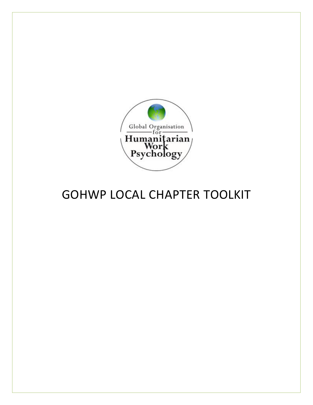

# GOHWP LOCAL CHAPTER TOOLKIT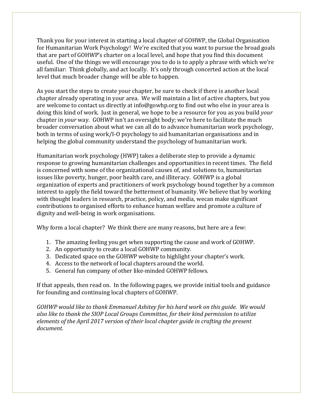Thank you for your interest in starting a local chapter of GOHWP, the Global Organisation for Humanitarian Work Psychology! We're excited that you want to pursue the broad goals that are part of GOHWP's charter on a local level, and hope that you find this document useful. One of the things we will encourage you to do is to apply a phrase with which we're all familiar: Think globally, and act locally. It's only through concerted action at the local level that much broader change will be able to happen.

As you start the steps to create your chapter, be sure to check if there is another local chapter already operating in your area. We will maintain a list of active chapters, but you are welcome to contact us directly at info@gowhp.org to find out who else in your area is doing this kind of work. Just in general, we hope to be a resource for you as you build *your* chapter in *your* way. GOHWP isn't an oversight body; we're here to facilitate the much broader conversation about what we can all do to advance humanitarian work psychology, both in terms of using work/I-O psychology to aid humanitarian organisations and in helping the global community understand the psychology of humanitarian work.

Humanitarian work psychology (HWP) takes a deliberate step to provide a dynamic response to growing humanitarian challenges and opportunities in recent times. The field is concerned with some of the organizational causes of, and solutions to, humanitarian issues like poverty, hunger, poor health care, and illiteracy. GOHWP is a global organization of experts and practitioners of work psychology bound together by a common interest to apply the field toward the betterment of humanity. We believe that by working with thought leaders in research, practice, policy, and media, wecan make significant contributions to organised efforts to enhance human welfare and promote a culture of dignity and well-being in work organisations.

Why form a local chapter? We think there are many reasons, but here are a few:

- 1. The amazing feeling you get when supporting the cause and work of GOHWP.
- 2. An opportunity to create a local GOHWP community.
- 3. Dedicated space on the GOHWP website to highlight your chapter's work.
- 4. Access to the network of local chapters around the world.
- 5. General fun company of other like-minded GOHWP fellows.

If that appeals, then read on. In the following pages, we provide initial tools and guidance for founding and continuing local chapters of GOHWP.

*GOHWP would like to thank Emmanuel Ashitey for his hard work on this guide. We would also like to thank the SIOP Local Groups Committee, for their kind permission to utilize elements of the April 2017 version of their local chapter guide in crafting the present document.*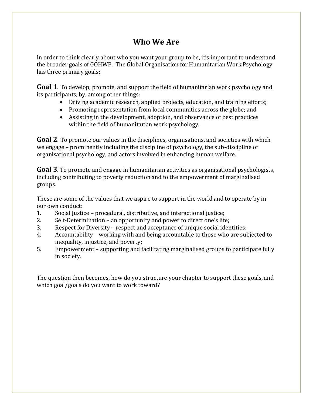# **Who We Are**

In order to think clearly about who you want your group to be, it's important to understand the broader goals of GOHWP. The Global Organisation for Humanitarian Work Psychology has three primary goals:

**Goal 1**. To develop, promote, and support the field of humanitarian work psychology and its participants, by, among other things:

- Driving academic research, applied projects, education, and training efforts;
- Promoting representation from local communities across the globe; and
- Assisting in the development, adoption, and observance of best practices within the field of humanitarian work psychology.

**Goal 2**. To promote our values in the disciplines, organisations, and societies with which we engage – prominently including the discipline of psychology, the sub-discipline of organisational psychology, and actors involved in enhancing human welfare.

**Goal 3**. To promote and engage in humanitarian activities as organisational psychologists, including contributing to poverty reduction and to the empowerment of marginalised groups.

These are some of the values that we aspire to support in the world and to operate by in our own conduct:

- 1. Social Justice procedural, distributive, and interactional justice;
- 2. Self-Determination an opportunity and power to direct one's life;
- 3. Respect for Diversity respect and acceptance of unique social identities;
- 4. Accountability working with and being accountable to those who are subjected to inequality, injustice, and poverty;
- 5. Empowerment supporting and facilitating marginalised groups to participate fully in society.

The question then becomes, how do you structure your chapter to support these goals, and which goal/goals do you want to work toward?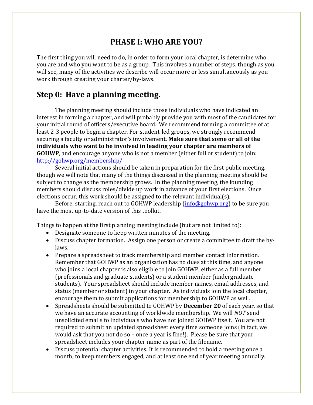# **PHASE I: WHO ARE YOU?**

The first thing you will need to do, in order to form your local chapter, is determine who you are and who you want to be as a group. This involves a number of steps, though as you will see, many of the activities we describe will occur more or less simultaneously as you work through creating your charter/by-laws.

# **Step 0: Have a planning meeting.**

The planning meeting should include those individuals who have indicated an interest in forming a chapter, and will probably provide you with most of the candidates for your initial round of officers/executive board. We recommend forming a committee of at least 2-3 people to begin a chapter. For student-led groups, we strongly recommend securing a faculty or administrator's involvement. **Make sure that some or all of the individuals who want to be involved in leading your chapter are members of GOHWP**, and encourage anyone who is not a member (either full or student) to join: <http://gohwp.org/membership/>

Several initial actions should be taken in preparation for the first public meeting, though we will note that many of the things discussed in the planning meeting should be subject to change as the membership grows. In the planning meeting, the founding members should discuss roles/divide up work in advance of your first elections. Once elections occur, this work should be assigned to the relevant individual(s).

Before, starting, reach out to GOHWP leadership [\(info@gohwp.org\)](mailto:info@gohwp.org) to be sure you have the most up-to-date version of this toolkit.

Things to happen at the first planning meeting include (but are not limited to):

- Designate someone to keep written minutes of the meeting.
- Discuss chapter formation. Assign one person or create a committee to draft the bylaws.
- Prepare a spreadsheet to track membership and member contact information. Remember that GOHWP as an organisation has no dues at this time, and anyone who joins a local chapter is also eligible to join GOHWP, either as a full member (professionals and graduate students) or a student member (undergraduate students). Your spreadsheet should include member names, email addresses, and status (member or student) in your chapter. As individuals join the local chapter, encourage them to submit applications for membership to GOHWP as well.
- Spreadsheets should be submitted to GOHWP by **December 20** of each year, so that we have an accurate accounting of worldwide membership. We will *NOT* send unsolicited emails to individuals who have not joined GOHWP itself. You are not required to submit an updated spreadsheet every time someone joins (in fact, we would ask that you not do so – once a year is fine!). Please be sure that your spreadsheet includes your chapter name as part of the filename.
- Discuss potential chapter activities. It is recommended to hold a meeting once a month, to keep members engaged, and at least one end of year meeting annually.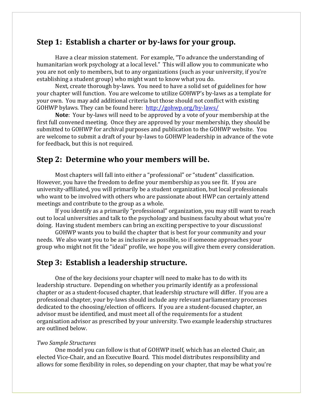### **Step 1: Establish a charter or by-laws for your group.**

Have a clear mission statement. For example, "To advance the understanding of humanitarian work psychology at a local level." This will allow you to communicate who you are not only to members, but to any organizations (such as your university, if you're establishing a student group) who might want to know what you do.

Next, create thorough by-laws. You need to have a solid set of guidelines for how your chapter will function. You are welcome to utilize GOHWP's by-laws as a template for your own. You may add additional criteria but those should not conflict with existing GOHWP bylaws. They can be found here: <http://gohwp.org/by-laws/>

**Note**: Your by-laws will need to be approved by a vote of your membership at the first full convened meeting. Once they are approved by your membership, they should be submitted to GOHWP for archival purposes and publication to the GOHWP website. You are welcome to submit a draft of your by-laws to GOHWP leadership in advance of the vote for feedback, but this is not required.

## **Step 2: Determine who your members will be.**

Most chapters will fall into either a "professional" or "student" classification. However, you have the freedom to define your membership as you see fit. If you are university-affiliated, you will primarily be a student organization, but local professionals who want to be involved with others who are passionate about HWP can certainly attend meetings and contribute to the group as a whole.

If you identify as a primarily "professional" organization, you may still want to reach out to local universities and talk to the psychology and business faculty about what you're doing. Having student members can bring an exciting perspective to your discussions!

GOHWP wants you to build the chapter that is best for your community and your needs. We also want you to be as inclusive as possible, so if someone approaches your group who might not fit the "ideal" profile, we hope you will give them every consideration.

### **Step 3: Establish a leadership structure.**

One of the key decisions your chapter will need to make has to do with its leadership structure. Depending on whether you primarily identify as a professional chapter or as a student-focused chapter, that leadership structure will differ. If you are a professional chapter, your by-laws should include any relevant parliamentary processes dedicated to the choosing/election of officers. If you are a student-focused chapter, an advisor must be identified, and must meet all of the requirements for a student organisation advisor as prescribed by your university. Two example leadership structures are outlined below.

#### *Two Sample Structures*

One model you can follow is that of GOHWP itself, which has an elected Chair, an elected Vice-Chair, and an Executive Board. This model distributes responsibility and allows for some flexibility in roles, so depending on your chapter, that may be what you're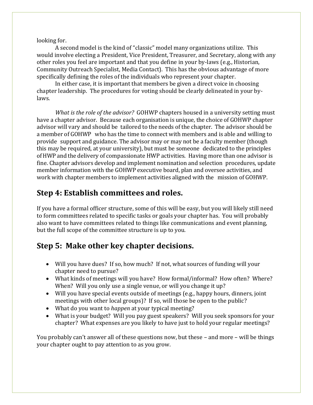#### looking for.

A second model is the kind of "classic" model many organizations utilize. This would involve electing a President, Vice President, Treasurer, and Secretary, along with any other roles you feel are important and that you define in your by-laws (e.g., Historian, Community Outreach Specialist, Media Contact). This has the obvious advantage of more specifically defining the roles of the individuals who represent your chapter.

In either case, it is important that members be given a direct voice in choosing chapter leadership. The procedures for voting should be clearly delineated in your bylaws.

*What is the role of the advisor?* GOHWP chapters housed in a university setting must have a chapter advisor. Because each organisation is unique, the choice of GOHWP chapter advisor will vary and should be tailored to the needs of the chapter. The advisor should be a member of GOHWP who has the time to connect with members and is able and willing to provide support and guidance. The advisor may or may not be a faculty member (though this may be required, at your university), but must be someone dedicated to the principles of HWP and the delivery of compassionate HWP activities. Having more than one advisor is fine. Chapter advisors develop and implement nomination and selection procedures, update member information with the GOHWP executive board, plan and oversee activities, and work with chapter members to implement activities aligned with the mission of GOHWP.

# **Step 4: Establish committees and roles.**

If you have a formal officer structure, some of this will be easy, but you will likely still need to form committees related to specific tasks or goals your chapter has. You will probably also want to have committees related to things like communications and event planning, but the full scope of the committee structure is up to you.

# **Step 5: Make other key chapter decisions.**

- Will you have dues? If so, how much? If not, what sources of funding will your chapter need to pursue?
- What kinds of meetings will you have? How formal/informal? How often? Where? When? Will you only use a single venue, or will you change it up?
- Will you have special events outside of meetings (e.g., happy hours, dinners, joint meetings with other local groups)? If so, will those be open to the public?
- What do you want to *happen* at your typical meeting?
- What is your budget? Will you pay guest speakers? Will you seek sponsors for your chapter? What expenses are you likely to have just to hold your regular meetings?

You probably can't answer all of these questions now, but these – and more – will be things your chapter ought to pay attention to as you grow.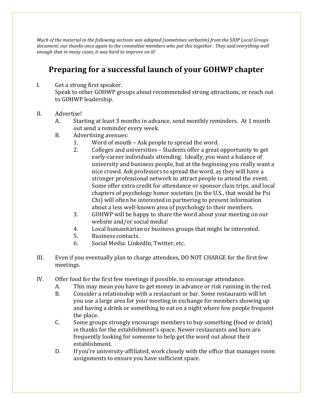*Much of the material in the following sections was adapted (sometimes verbatim) from the SIOP Local Groups*  document; our thanks once again to the committee members who put this together. They said everything well *enough that in many cases, it was hard to improve on it!*

# **Preparing for a successful launch of your GOHWP chapter**

- I. Get a strong first speaker. Speak to other GOHWP groups about recommended strong attractions, or reach out to GOHWP leadership.
- II. Advertise!
	- A. Starting at least 3 months in advance, send monthly reminders. At 1 month out send a reminder every week.
	- B. Advertising avenues:
		- 1. Word of mouth Ask people to spread the word.
		- 2. Colleges and universities Students offer a great opportunity to get early-career individuals attending. Ideally, you want a balance of university and business people, but at the beginning you really want a nice crowd. Ask professors to spread the word, as they will have a stronger professional network to attract people to attend the event. Some offer extra credit for attendance or sponsor class trips, and local chapters of psychology honor societies (in the U.S., that would be Psi Chi) will often be interested in partnering to present information about a less well-known area of psychology to their members.
		- 3. GOHWP will be happy to share the word about your meeting on our website and/or social media!
		- 4. Local humanitarian or business groups that might be interested.
		- 5. Business contacts.
		- 6. Social Media: LinkedIn, Twitter, etc.
- III. Even if you eventually plan to charge attendees, DO NOT CHARGE for the first few meetings.
- IV. Offer food for the first few meetings if possible, to encourage attendance.
	- A. This may mean you have to get money in advance or risk running in the red.
	- B. Consider a relationship with a restaurant or bar. Some restaurants will let you use a large area for your meeting in exchange for members showing up and having a drink or something to eat on a night where few people frequent the place.
	- C. Some groups strongly encourage members to buy something (food or drink) in thanks for the establishment's space. Newer restaurants and bars are frequently looking for someone to help get the word out about their establishment.
	- D. If you're university-affiliated, work closely with the office that manages room assignments to ensure you have sufficient space.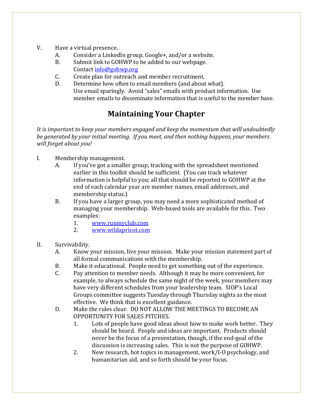- V. Have a virtual presence.
	- A. Consider a LinkedIn group, Google+, and/or a website.
	- B. Submit link to GOHWP to be added to our webpage. Contact [info@gohwp.org](mailto:info@gohwp.org)
	- C. Create plan for outreach and member recruitment.
	- D. Determine how often to email members (and about what). Use email sparingly. Avoid "sales" emails with product information. Use member emails to disseminate information that is useful to the member base.

# **Maintaining Your Chapter**

*It is important to keep your members engaged and keep the momentum that will undoubtedly be generated by your initial meeting. If you meet, and then nothing happens, your members will forget about you!*

- I. Membership management.
	- A. If you've got a smaller group, tracking with the spreadsheet mentioned earlier in this toolkit should be sufficient. (You can track whatever information is helpful to you; all that should be reported to GOHWP at the end of each calendar year are member names, email addresses, and membership status.)
	- B. If you have a larger group, you may need a more sophisticated method of managing your membership. Web-based tools are available for this. Two examples:
		- 1. [www.runmyclub.com](http://www.runmyclub.com/)
		- 2. [www.wildapricot.com](http://www.wildapricot.com/)
- II. Survivability.
	- A. Know your mission, live your mission. Make your mission statement part of all formal communications with the membership.
	- B. Make it educational. People need to get something out of the experience.
	- C. Pay attention to member needs. Although it may be more convenient, for example, to always schedule the same night of the week, your members may have very different schedules from your leadership team. SIOP's Local Groups committee suggests Tuesday through Thursday nights as the most effective. We think that is excellent guidance.
	- D. Make the rules clear. DO NOT ALLOW THE MEETINGS TO BECOME AN OPPORTUNITY FOR SALES PITCHES.
		- 1. Lots of people have good ideas about how to make work better. They should be heard. People and ideas are important. Products should never be the focus of a presentation, though, if the end-goal of the discussion is increasing sales. This is not the purpose of GOHWP.
		- 2. New research, hot topics in management, work/I-O psychology, and humanitarian aid, and so forth should be your focus.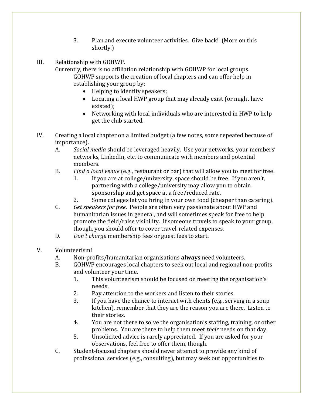- 3. Plan and execute volunteer activities. Give back! (More on this shortly.)
- III. Relationship with GOHWP.

Currently, there is no affiliation relationship with GOHWP for local groups. GOHWP supports the creation of local chapters and can offer help in establishing your group by:

- Helping to identify speakers;
- Locating a local HWP group that may already exist (or might have existed);
- Networking with local individuals who are interested in HWP to help get the club started.
- IV. Creating a local chapter on a limited budget (a few notes, some repeated because of importance).
	- A. *Social media* should be leveraged heavily. Use your networks, your members' networks, LinkedIn, etc. to communicate with members and potential members.
	- B. *Find a local venue* (e.g., restaurant or bar) that will allow you to meet for free.
		- 1. If you are at college/university, space should be free. If you aren't, partnering with a college/university may allow you to obtain sponsorship and get space at a free/reduced rate.
		- 2. Some colleges let you bring in your own food (cheaper than catering).
	- C. *Get speakers for free*. People are often very passionate about HWP and humanitarian issues in general, and will sometimes speak for free to help promote the field/raise visibility. If someone travels to speak to your group, though, you should offer to cover travel-related expenses.
	- D. *Don't charge* membership fees or guest fees to start.
- V. Volunteerism!
	- A. Non-profits/humanitarian organisations **always** need volunteers.
	- B. GOHWP encourages local chapters to seek out local and regional non-profits and volunteer your time.
		- 1. This volunteerism should be focused on meeting the organisation's needs.
		- 2. Pay attention to the workers and listen to their stories.
		- 3. If you have the chance to interact with clients (e.g., serving in a soup kitchen), remember that they are the reason you are there. Listen to their stories.
		- 4. You are not there to solve the organisation's staffing, training, or other problems. You are there to help them meet *their* needs on that day.
		- 5. Unsolicited advice is rarely appreciated. If you are asked for your observations, feel free to offer them, though.
	- C. Student-focused chapters should never attempt to provide any kind of professional services (e.g., consulting), but may seek out opportunities to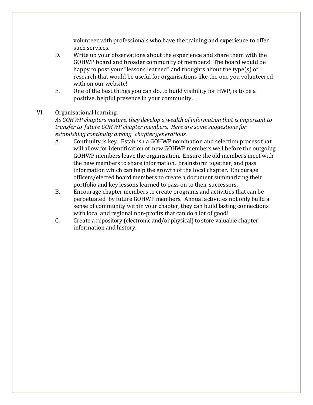volunteer with professionals who have the training and experience to offer such services.

- D. Write up your observations about the experience and share them with the GOHWP board and broader community of members! The board would be happy to post your "lessons learned" and thoughts about the type(s) of research that would be useful for organisations like the one you volunteered with on our website!
- E. One of the best things you can do, to build visibility for HWP, is to be a positive, helpful presence in your community.

#### VI. Organisational learning.

*As GOHWP chapters mature, they develop a wealth of information that is important to transfer to future GOHWP chapter members. Here are some suggestions for establishing continuity among chapter generations.*

- A. Continuity is key. Establish a GOHWP nomination and selection process that will allow for identification of new GOHWP members well before the outgoing GOHWP members leave the organisation. Ensure the old members meet with the new members to share information, brainstorm together, and pass information which can help the growth of the local chapter. Encourage officers/elected board members to create a document summarizing their portfolio and key lessons learned to pass on to their successors.
- B. Encourage chapter members to create programs and activities that can be perpetuated by future GOHWP members. Annual activities not only build a sense of community within your chapter, they can build lasting connections with local and regional non-profits that can do a lot of good!
- C. Create a repository (electronic and/or physical) to store valuable chapter information and history.